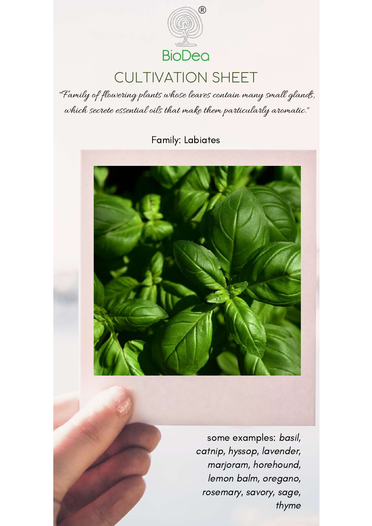

# CULTIVATION SHEET

"Family of flowering plants whose leaves contain many small glands, which secrete essential oils that make them particularly aromatic."

Family: Labiates



some examples: basil, catnip, hyssop, lavender, marjoram, horehound, lemon balm, oregano, rosemary, savory, sage, thyme